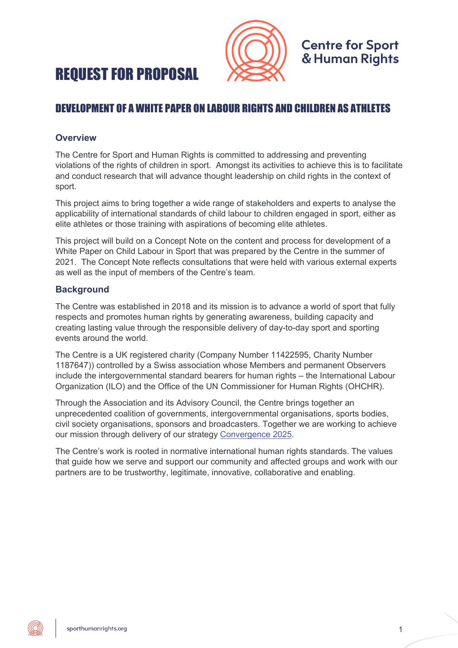



# DEVELOPMENT OF A WHITE PAPER ON LABOUR RIGHTS AND CHILDREN AS ATHLETES

#### **Overview**

The Centre for Sport and Human Rights is committed to addressing and preventing violations of the rights of children in sport. Amongst its activities to achieve this is to facilitate and conduct research that will advance thought leadership on child rights in the context of sport.

This project aims to bring together a wide range of stakeholders and experts to analyse the applicability of international standards of child labour to children engaged in sport, either as elite athletes or those training with aspirations of becoming elite athletes.

This project will build on a Concept Note on the content and process for development of a White Paper on Child Labour in Sport that was prepared by the Centre in the summer of 2021. The Concept Note reflects consultations that were held with various external experts as well as the input of members of the Centre's team.

# **Background**

The Centre was established in 2018 and its mission is to advance a world of sport that fully respects and promotes human rights by generating awareness, building capacity and creating lasting value through the responsible delivery of day-to-day sport and sporting events around the world.

The Centre is a UK registered charity (Company Number 11422595, Charity Number 1187647)) controlled by a Swiss association whose Members and permanent Observers include the intergovernmental standard bearers for human rights – the International Labour Organization (ILO) and the Office of the UN Commissioner for Human Rights (OHCHR).

Through the Association and its Advisory Council, the Centre brings together an unprecedented coalition of governments, intergovernmental organisations, sports bodies, civil society organisations, sponsors and broadcasters. Together we are working to achieve our mission through delivery of our strategy Convergence 2025.

The Centre's work is rooted in normative international human rights standards. The values that guide how we serve and support our community and affected groups and work with our partners are to be trustworthy, legitimate, innovative, collaborative and enabling.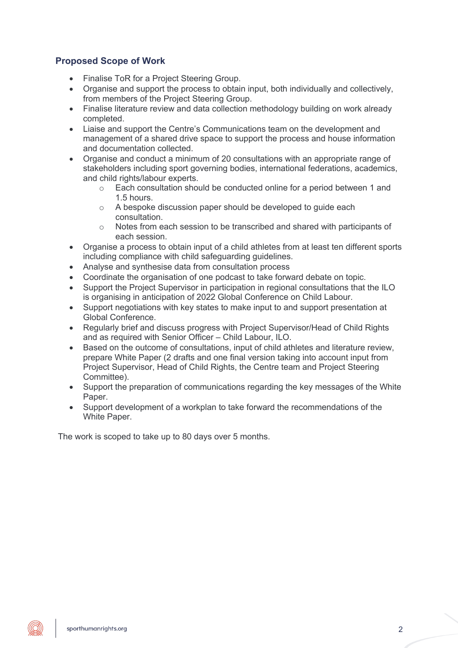## **Proposed Scope of Work**

- Finalise ToR for a Project Steering Group.
- Organise and support the process to obtain input, both individually and collectively, from members of the Project Steering Group.
- Finalise literature review and data collection methodology building on work already completed.
- Liaise and support the Centre's Communications team on the development and management of a shared drive space to support the process and house information and documentation collected.
- Organise and conduct a minimum of 20 consultations with an appropriate range of stakeholders including sport governing bodies, international federations, academics, and child rights/labour experts.
	- $\circ$  Each consultation should be conducted online for a period between 1 and 1.5 hours.
	- o A bespoke discussion paper should be developed to guide each consultation.
	- $\circ$  Notes from each session to be transcribed and shared with participants of each session.
- Organise a process to obtain input of a child athletes from at least ten different sports including compliance with child safeguarding guidelines.
- Analyse and synthesise data from consultation process
- Coordinate the organisation of one podcast to take forward debate on topic.
- Support the Project Supervisor in participation in regional consultations that the ILO is organising in anticipation of 2022 Global Conference on Child Labour.
- Support negotiations with key states to make input to and support presentation at Global Conference.
- Regularly brief and discuss progress with Project Supervisor/Head of Child Rights and as required with Senior Officer – Child Labour, ILO.
- Based on the outcome of consultations, input of child athletes and literature review, prepare White Paper (2 drafts and one final version taking into account input from Project Supervisor, Head of Child Rights, the Centre team and Project Steering Committee).
- Support the preparation of communications regarding the key messages of the White Paper.
- Support development of a workplan to take forward the recommendations of the White Paper.

The work is scoped to take up to 80 days over 5 months.